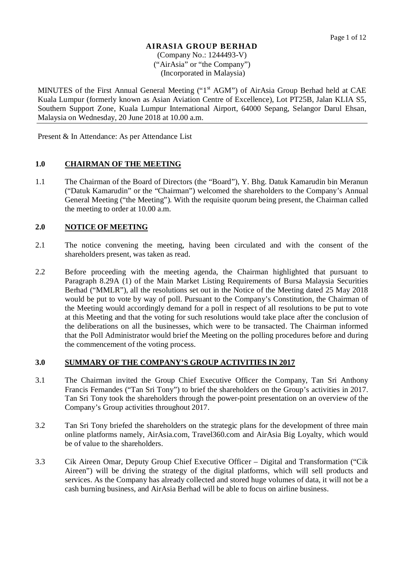#### **AIRASIA GROUP BERHAD** (Company No.: 1244493-V)

("AirAsia" or "the Company") (Incorporated in Malaysia)

MINUTES of the First Annual General Meeting ("1<sup>st</sup> AGM") of AirAsia Group Berhad held at CAE Kuala Lumpur (formerly known as Asian Aviation Centre of Excellence), Lot PT25B, Jalan KLIA S5, Southern Support Zone, Kuala Lumpur International Airport, 64000 Sepang, Selangor Darul Ehsan, Malaysia on Wednesday, 20 June 2018 at 10.00 a.m.

Present & In Attendance: As per Attendance List

#### **1.0 CHAIRMAN OF THE MEETING**

1.1 The Chairman of the Board of Directors (the "Board"), Y. Bhg. Datuk Kamarudin bin Meranun ("Datuk Kamarudin" or the "Chairman") welcomed the shareholders to the Company's Annual General Meeting ("the Meeting"). With the requisite quorum being present, the Chairman called the meeting to order at 10.00 a.m.

## **2.0 NOTICE OF MEETING**

- 2.1 The notice convening the meeting, having been circulated and with the consent of the shareholders present, was taken as read.
- 2.2 Before proceeding with the meeting agenda, the Chairman highlighted that pursuant to Paragraph 8.29A (1) of the Main Market Listing Requirements of Bursa Malaysia Securities Berhad ("MMLR"), all the resolutions set out in the Notice of the Meeting dated 25 May 2018 would be put to vote by way of poll. Pursuant to the Company's Constitution, the Chairman of the Meeting would accordingly demand for a poll in respect of all resolutions to be put to vote at this Meeting and that the voting for such resolutions would take place after the conclusion of the deliberations on all the businesses, which were to be transacted. The Chairman informed that the Poll Administrator would brief the Meeting on the polling procedures before and during the commencement of the voting process.

### **3.0 SUMMARY OF THE COMPANY'S GROUP ACTIVITIES IN 2017**

- 3.1 The Chairman invited the Group Chief Executive Officer the Company, Tan Sri Anthony Francis Fernandes ("Tan Sri Tony") to brief the shareholders on the Group's activities in 2017. Tan Sri Tony took the shareholders through the power-point presentation on an overview of the Company's Group activities throughout 2017.
- 3.2 Tan Sri Tony briefed the shareholders on the strategic plans for the development of three main online platforms namely, AirAsia.com, Travel360.com and AirAsia Big Loyalty, which would be of value to the shareholders.
- 3.3 Cik Aireen Omar, Deputy Group Chief Executive Officer Digital and Transformation ("Cik Aireen") will be driving the strategy of the digital platforms, which will sell products and services. As the Company has already collected and stored huge volumes of data, it will not be a cash burning business, and AirAsia Berhad will be able to focus on airline business.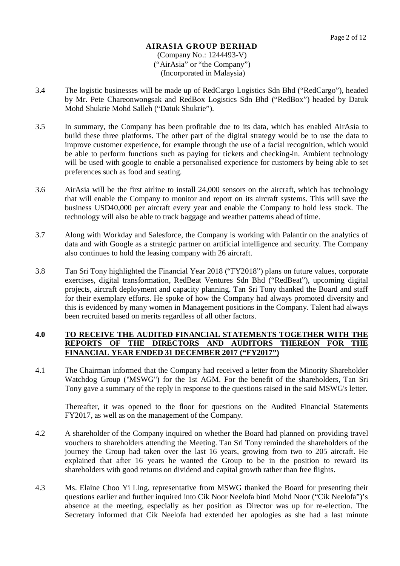- 3.4 The logistic businesses will be made up of RedCargo Logistics Sdn Bhd ("RedCargo"), headed by Mr. Pete Chareonwongsak and RedBox Logistics Sdn Bhd ("RedBox") headed by Datuk Mohd Shukrie Mohd Salleh ("Datuk Shukrie").
- 3.5 In summary, the Company has been profitable due to its data, which has enabled AirAsia to build these three platforms. The other part of the digital strategy would be to use the data to improve customer experience, for example through the use of a facial recognition, which would be able to perform functions such as paying for tickets and checking-in. Ambient technology will be used with google to enable a personalised experience for customers by being able to set preferences such as food and seating.
- 3.6 AirAsia will be the first airline to install 24,000 sensors on the aircraft, which has technology that will enable the Company to monitor and report on its aircraft systems. This will save the business USD40,000 per aircraft every year and enable the Company to hold less stock. The technology will also be able to track baggage and weather patterns ahead of time.
- 3.7 Along with Workday and Salesforce, the Company is working with Palantir on the analytics of data and with Google as a strategic partner on artificial intelligence and security. The Company also continues to hold the leasing company with 26 aircraft.
- 3.8 Tan Sri Tony highlighted the Financial Year 2018 ("FY2018") plans on future values, corporate exercises, digital transformation, RedBeat Ventures Sdn Bhd ("RedBeat"), upcoming digital projects, aircraft deployment and capacity planning. Tan Sri Tony thanked the Board and staff for their exemplary efforts. He spoke of how the Company had always promoted diversity and this is evidenced by many women in Management positions in the Company. Talent had always been recruited based on merits regardless of all other factors.

## **4.0 TO RECEIVE THE AUDITED FINANCIAL STATEMENTS TOGETHER WITH THE REPORTS OF THE DIRECTORS AND AUDITORS THEREON FOR THE FINANCIAL YEAR ENDED 31 DECEMBER 2017 ("FY2017")**

4.1 The Chairman informed that the Company had received a letter from the Minority Shareholder Watchdog Group ("MSWG") for the 1st AGM. For the benefit of the shareholders, Tan Sri Tony gave a summary of the reply in response to the questions raised in the said MSWG's letter.

Thereafter, it was opened to the floor for questions on the Audited Financial Statements FY2017, as well as on the management of the Company.

- 4.2 A shareholder of the Company inquired on whether the Board had planned on providing travel vouchers to shareholders attending the Meeting. Tan Sri Tony reminded the shareholders of the journey the Group had taken over the last 16 years, growing from two to 205 aircraft. He explained that after 16 years he wanted the Group to be in the position to reward its shareholders with good returns on dividend and capital growth rather than free flights.
- 4.3 Ms. Elaine Choo Yi Ling, representative from MSWG thanked the Board for presenting their questions earlier and further inquired into Cik Noor Neelofa binti Mohd Noor ("Cik Neelofa")'s absence at the meeting, especially as her position as Director was up for re-election. The Secretary informed that Cik Neelofa had extended her apologies as she had a last minute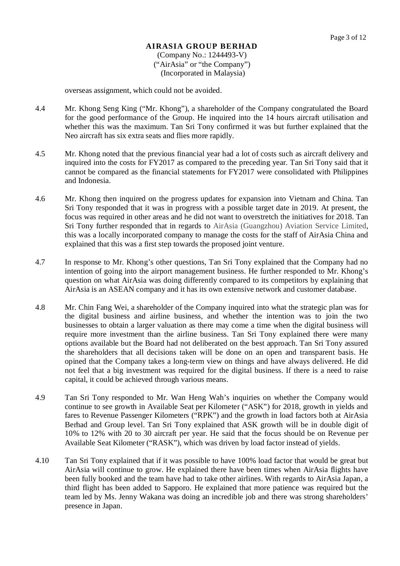overseas assignment, which could not be avoided.

- 4.4 Mr. Khong Seng King ("Mr. Khong"), a shareholder of the Company congratulated the Board for the good performance of the Group. He inquired into the 14 hours aircraft utilisation and whether this was the maximum. Tan Sri Tony confirmed it was but further explained that the Neo aircraft has six extra seats and flies more rapidly.
- 4.5 Mr. Khong noted that the previous financial year had a lot of costs such as aircraft delivery and inquired into the costs for FY2017 as compared to the preceding year. Tan Sri Tony said that it cannot be compared as the financial statements for FY2017 were consolidated with Philippines and Indonesia.
- 4.6 Mr. Khong then inquired on the progress updates for expansion into Vietnam and China. Tan Sri Tony responded that it was in progress with a possible target date in 2019. At present, the focus was required in other areas and he did not want to overstretch the initiatives for 2018. Tan Sri Tony further responded that in regards to AirAsia (Guangzhou) Aviation Service Limited, this was a locally incorporated company to manage the costs for the staff of AirAsia China and explained that this was a first step towards the proposed joint venture.
- 4.7 In response to Mr. Khong's other questions, Tan Sri Tony explained that the Company had no intention of going into the airport management business. He further responded to Mr. Khong's question on what AirAsia was doing differently compared to its competitors by explaining that AirAsia is an ASEAN company and it has its own extensive network and customer database.
- 4.8 Mr. Chin Fang Wei, a shareholder of the Company inquired into what the strategic plan was for the digital business and airline business, and whether the intention was to join the two businesses to obtain a larger valuation as there may come a time when the digital business will require more investment than the airline business. Tan Sri Tony explained there were many options available but the Board had not deliberated on the best approach. Tan Sri Tony assured the shareholders that all decisions taken will be done on an open and transparent basis. He opined that the Company takes a long-term view on things and have always delivered. He did not feel that a big investment was required for the digital business. If there is a need to raise capital, it could be achieved through various means.
- 4.9 Tan Sri Tony responded to Mr. Wan Heng Wah's inquiries on whether the Company would continue to see growth in Available Seat per Kilometer ("ASK") for 2018, growth in yields and fares to Revenue Passenger Kilometers ("RPK") and the growth in load factors both at AirAsia Berhad and Group level. Tan Sri Tony explained that ASK growth will be in double digit of 10% to 12% with 20 to 30 aircraft per year. He said that the focus should be on Revenue per Available Seat Kilometer ("RASK"), which was driven by load factor instead of yields.
- 4.10 Tan Sri Tony explained that if it was possible to have 100% load factor that would be great but AirAsia will continue to grow. He explained there have been times when AirAsia flights have been fully booked and the team have had to take other airlines. With regards to AirAsia Japan, a third flight has been added to Sapporo. He explained that more patience was required but the team led by Ms. Jenny Wakana was doing an incredible job and there was strong shareholders' presence in Japan.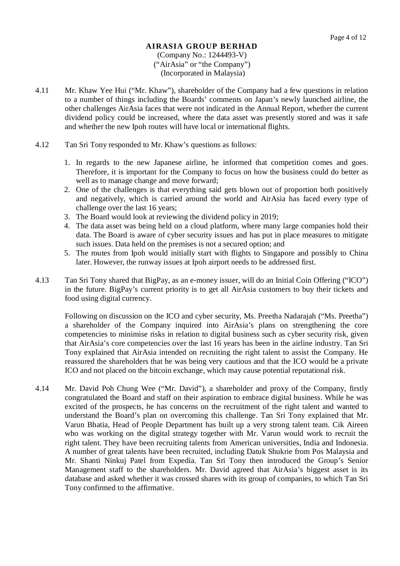- 4.11 Mr. Khaw Yee Hui ("Mr. Khaw"), shareholder of the Company had a few questions in relation to a number of things including the Boards' comments on Japan's newly launched airline, the other challenges AirAsia faces that were not indicated in the Annual Report, whether the current dividend policy could be increased, where the data asset was presently stored and was it safe and whether the new Ipoh routes will have local or international flights.
- 4.12 Tan Sri Tony responded to Mr. Khaw's questions as follows:
	- 1. In regards to the new Japanese airline, he informed that competition comes and goes. Therefore, it is important for the Company to focus on how the business could do better as well as to manage change and move forward;
	- 2. One of the challenges is that everything said gets blown out of proportion both positively and negatively, which is carried around the world and AirAsia has faced every type of challenge over the last 16 years;
	- 3. The Board would look at reviewing the dividend policy in 2019;
	- 4. The data asset was being held on a cloud platform, where many large companies hold their data. The Board is aware of cyber security issues and has put in place measures to mitigate such issues. Data held on the premises is not a secured option; and
	- 5. The routes from Ipoh would initially start with flights to Singapore and possibly to China later. However, the runway issues at Ipoh airport needs to be addressed first.
- 4.13 Tan Sri Tony shared that BigPay, as an e-money issuer, will do an Initial Coin Offering ("ICO") in the future. BigPay's current priority is to get all AirAsia customers to buy their tickets and food using digital currency.

Following on discussion on the ICO and cyber security, Ms. Preetha Nadarajah ("Ms. Preetha") a shareholder of the Company inquired into AirAsia's plans on strengthening the core competencies to minimise risks in relation to digital business such as cyber security risk, given that AirAsia's core competencies over the last 16 years has been in the airline industry. Tan Sri Tony explained that AirAsia intended on recruiting the right talent to assist the Company. He reassured the shareholders that he was being very cautious and that the ICO would be a private ICO and not placed on the bitcoin exchange, which may cause potential reputational risk.

4.14 Mr. David Poh Chung Wee ("Mr. David"), a shareholder and proxy of the Company, firstly congratulated the Board and staff on their aspiration to embrace digital business. While he was excited of the prospects, he has concerns on the recruitment of the right talent and wanted to understand the Board's plan on overcoming this challenge. Tan Sri Tony explained that Mr. Varun Bhatia, Head of People Department has built up a very strong talent team. Cik Aireen who was working on the digital strategy together with Mr. Varun would work to recruit the right talent. They have been recruiting talents from American universities, India and Indonesia. A number of great talents have been recruited, including Datuk Shukrie from Pos Malaysia and Mr. Shanti Ninkuj Patel from Expedia. Tan Sri Tony then introduced the Group's Senior Management staff to the shareholders. Mr. David agreed that AirAsia's biggest asset is its database and asked whether it was crossed shares with its group of companies, to which Tan Sri Tony confirmed to the affirmative.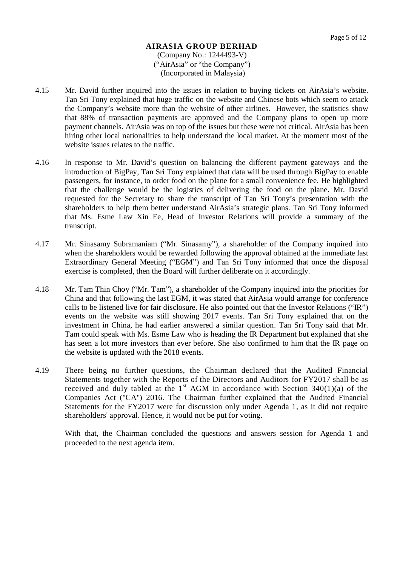- 4.15 Mr. David further inquired into the issues in relation to buying tickets on AirAsia's website. Tan Sri Tony explained that huge traffic on the website and Chinese bots which seem to attack the Company's website more than the website of other airlines. However, the statistics show that 88% of transaction payments are approved and the Company plans to open up more payment channels. AirAsia was on top of the issues but these were not critical. AirAsia has been hiring other local nationalities to help understand the local market. At the moment most of the website issues relates to the traffic.
- 4.16 In response to Mr. David's question on balancing the different payment gateways and the introduction of BigPay, Tan Sri Tony explained that data will be used through BigPay to enable passengers, for instance, to order food on the plane for a small convenience fee. He highlighted that the challenge would be the logistics of delivering the food on the plane. Mr. David requested for the Secretary to share the transcript of Tan Sri Tony's presentation with the shareholders to help them better understand AirAsia's strategic plans. Tan Sri Tony informed that Ms. Esme Law Xin Ee, Head of Investor Relations will provide a summary of the transcript.
- 4.17 Mr. Sinasamy Subramaniam ("Mr. Sinasamy"), a shareholder of the Company inquired into when the shareholders would be rewarded following the approval obtained at the immediate last Extraordinary General Meeting ("EGM") and Tan Sri Tony informed that once the disposal exercise is completed, then the Board will further deliberate on it accordingly.
- 4.18 Mr. Tam Thin Choy ("Mr. Tam"), a shareholder of the Company inquired into the priorities for China and that following the last EGM, it was stated that AirAsia would arrange for conference calls to be listened live for fair disclosure. He also pointed out that the Investor Relations ("IR") events on the website was still showing 2017 events. Tan Sri Tony explained that on the investment in China, he had earlier answered a similar question. Tan Sri Tony said that Mr. Tam could speak with Ms. Esme Law who is heading the IR Department but explained that she has seen a lot more investors than ever before. She also confirmed to him that the IR page on the website is updated with the 2018 events.
- 4.19 There being no further questions, the Chairman declared that the Audited Financial Statements together with the Reports of the Directors and Auditors for FY2017 shall be as received and duly tabled at the  $1<sup>st</sup>$  AGM in accordance with Section 340(1)(a) of the Companies Act ("CA") 2016. The Chairman further explained that the Audited Financial Statements for the FY2017 were for discussion only under Agenda 1, as it did not require shareholders' approval. Hence, it would not be put for voting.

With that, the Chairman concluded the questions and answers session for Agenda 1 and proceeded to the next agenda item.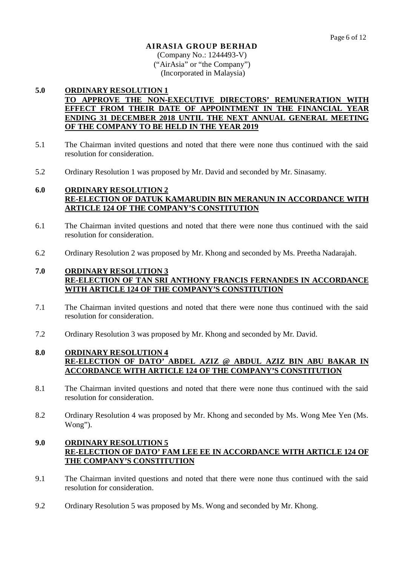(Company No.: 1244493-V) ("AirAsia" or "the Company") (Incorporated in Malaysia)

## **5.0 ORDINARY RESOLUTION 1 TO APPROVE THE NON-EXECUTIVE DIRECTORS' REMUNERATION WITH EFFECT FROM THEIR DATE OF APPOINTMENT IN THE FINANCIAL YEAR ENDING 31 DECEMBER 2018 UNTIL THE NEXT ANNUAL GENERAL MEETING OF THE COMPANY TO BE HELD IN THE YEAR 2019**

- 5.1 The Chairman invited questions and noted that there were none thus continued with the said resolution for consideration.
- 5.2 Ordinary Resolution 1 was proposed by Mr. David and seconded by Mr. Sinasamy.

## **6.0 ORDINARY RESOLUTION 2 RE-ELECTION OF DATUK KAMARUDIN BIN MERANUN IN ACCORDANCE WITH ARTICLE 124 OF THE COMPANY'S CONSTITUTION**

- 6.1 The Chairman invited questions and noted that there were none thus continued with the said resolution for consideration.
- 6.2 Ordinary Resolution 2 was proposed by Mr. Khong and seconded by Ms. Preetha Nadarajah.

## **7.0 ORDINARY RESOLUTION 3 RE-ELECTION OF TAN SRI ANTHONY FRANCIS FERNANDES IN ACCORDANCE WITH ARTICLE 124 OF THE COMPANY'S CONSTITUTION**

- 7.1 The Chairman invited questions and noted that there were none thus continued with the said resolution for consideration.
- 7.2 Ordinary Resolution 3 was proposed by Mr. Khong and seconded by Mr. David.

## **8.0 ORDINARY RESOLUTION 4 RE-ELECTION OF DATO' ABDEL AZIZ @ ABDUL AZIZ BIN ABU BAKAR IN ACCORDANCE WITH ARTICLE 124 OF THE COMPANY'S CONSTITUTION**

- 8.1 The Chairman invited questions and noted that there were none thus continued with the said resolution for consideration.
- 8.2 Ordinary Resolution 4 was proposed by Mr. Khong and seconded by Ms. Wong Mee Yen (Ms. Wong").

## **9.0 ORDINARY RESOLUTION 5 RE-ELECTION OF DATO' FAM LEE EE IN ACCORDANCE WITH ARTICLE 124 OF THE COMPANY'S CONSTITUTION**

- 9.1 The Chairman invited questions and noted that there were none thus continued with the said resolution for consideration.
- 9.2 Ordinary Resolution 5 was proposed by Ms. Wong and seconded by Mr. Khong.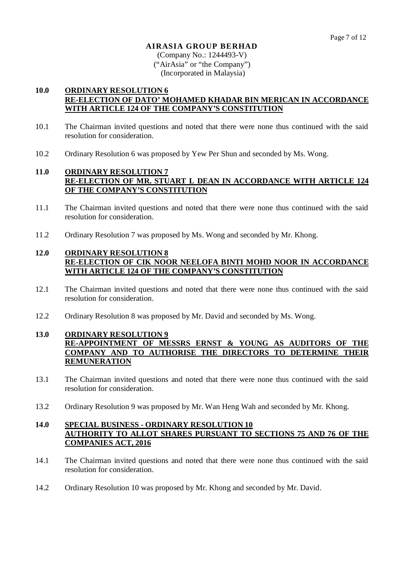(Company No.: 1244493-V) ("AirAsia" or "the Company") (Incorporated in Malaysia)

## **10.0 ORDINARY RESOLUTION 6 RE-ELECTION OF DATO' MOHAMED KHADAR BIN MERICAN IN ACCORDANCE WITH ARTICLE 124 OF THE COMPANY'S CONSTITUTION**

- 10.1 The Chairman invited questions and noted that there were none thus continued with the said resolution for consideration.
- 10.2 Ordinary Resolution 6 was proposed by Yew Per Shun and seconded by Ms. Wong.

## **11.0 ORDINARY RESOLUTION 7 RE-ELECTION OF MR. STUART L DEAN IN ACCORDANCE WITH ARTICLE 124 OF THE COMPANY'S CONSTITUTION**

- 11.1 The Chairman invited questions and noted that there were none thus continued with the said resolution for consideration.
- 11.2 Ordinary Resolution 7 was proposed by Ms. Wong and seconded by Mr. Khong.

## **12.0 ORDINARY RESOLUTION 8 RE-ELECTION OF CIK NOOR NEELOFA BINTI MOHD NOOR IN ACCORDANCE WITH ARTICLE 124 OF THE COMPANY'S CONSTITUTION**

- 12.1 The Chairman invited questions and noted that there were none thus continued with the said resolution for consideration.
- 12.2 Ordinary Resolution 8 was proposed by Mr. David and seconded by Ms. Wong.

## **13.0 ORDINARY RESOLUTION 9 RE-APPOINTMENT OF MESSRS ERNST & YOUNG AS AUDITORS OF THE COMPANY AND TO AUTHORISE THE DIRECTORS TO DETERMINE THEIR REMUNERATION**

- 13.1 The Chairman invited questions and noted that there were none thus continued with the said resolution for consideration.
- 13.2 Ordinary Resolution 9 was proposed by Mr. Wan Heng Wah and seconded by Mr. Khong.

## **14.0 SPECIAL BUSINESS - ORDINARY RESOLUTION 10 AUTHORITY TO ALLOT SHARES PURSUANT TO SECTIONS 75 AND 76 OF THE COMPANIES ACT, 2016**

- 14.1 The Chairman invited questions and noted that there were none thus continued with the said resolution for consideration.
- 14.2 Ordinary Resolution 10 was proposed by Mr. Khong and seconded by Mr. David.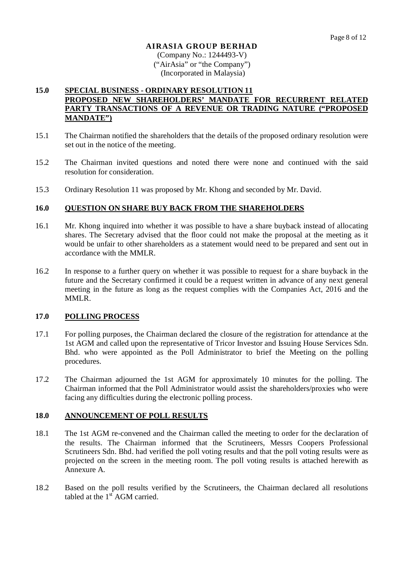(Company No.: 1244493-V) ("AirAsia" or "the Company") (Incorporated in Malaysia)

### **15.0 SPECIAL BUSINESS - ORDINARY RESOLUTION 11 PROPOSED NEW SHAREHOLDERS' MANDATE FOR RECURRENT RELATED PARTY TRANSACTIONS OF A REVENUE OR TRADING NATURE ("PROPOSED MANDATE")**

- 15.1 The Chairman notified the shareholders that the details of the proposed ordinary resolution were set out in the notice of the meeting.
- 15.2 The Chairman invited questions and noted there were none and continued with the said resolution for consideration.
- 15.3 Ordinary Resolution 11 was proposed by Mr. Khong and seconded by Mr. David.

### **16.0 QUESTION ON SHARE BUY BACK FROM THE SHAREHOLDERS**

- 16.1 Mr. Khong inquired into whether it was possible to have a share buyback instead of allocating shares. The Secretary advised that the floor could not make the proposal at the meeting as it would be unfair to other shareholders as a statement would need to be prepared and sent out in accordance with the MMLR.
- 16.2 In response to a further query on whether it was possible to request for a share buyback in the future and the Secretary confirmed it could be a request written in advance of any next general meeting in the future as long as the request complies with the Companies Act, 2016 and the MMLR.

### **17.0 POLLING PROCESS**

- 17.1 For polling purposes, the Chairman declared the closure of the registration for attendance at the 1st AGM and called upon the representative of Tricor Investor and Issuing House Services Sdn. Bhd. who were appointed as the Poll Administrator to brief the Meeting on the polling procedures.
- 17.2 The Chairman adjourned the 1st AGM for approximately 10 minutes for the polling. The Chairman informed that the Poll Administrator would assist the shareholders/proxies who were facing any difficulties during the electronic polling process.

### **18.0 ANNOUNCEMENT OF POLL RESULTS**

- 18.1 The 1st AGM re-convened and the Chairman called the meeting to order for the declaration of the results. The Chairman informed that the Scrutineers, Messrs Coopers Professional Scrutineers Sdn. Bhd. had verified the poll voting results and that the poll voting results were as projected on the screen in the meeting room. The poll voting results is attached herewith as Annexure A.
- 18.2 Based on the poll results verified by the Scrutineers, the Chairman declared all resolutions tabled at the  $1<sup>st</sup>$  AGM carried.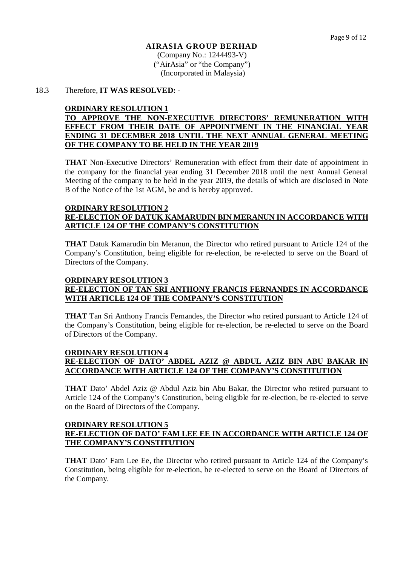# **AIRASIA GROUP BERHAD** (Company No.: 1244493-V)

("AirAsia" or "the Company") (Incorporated in Malaysia)

#### 18.3 Therefore, **IT WAS RESOLVED: -**

#### **ORDINARY RESOLUTION 1**

### **TO APPROVE THE NON-EXECUTIVE DIRECTORS' REMUNERATION WITH EFFECT FROM THEIR DATE OF APPOINTMENT IN THE FINANCIAL YEAR ENDING 31 DECEMBER 2018 UNTIL THE NEXT ANNUAL GENERAL MEETING OF THE COMPANY TO BE HELD IN THE YEAR 2019**

**THAT** Non-Executive Directors' Remuneration with effect from their date of appointment in the company for the financial year ending 31 December 2018 until the next Annual General Meeting of the company to be held in the year 2019, the details of which are disclosed in Note B of the Notice of the 1st AGM, be and is hereby approved.

#### **ORDINARY RESOLUTION 2**

# **RE-ELECTION OF DATUK KAMARUDIN BIN MERANUN IN ACCORDANCE WITH ARTICLE 124 OF THE COMPANY'S CONSTITUTION**

**THAT** Datuk Kamarudin bin Meranun, the Director who retired pursuant to Article 124 of the Company's Constitution, being eligible for re-election, be re-elected to serve on the Board of Directors of the Company.

### **ORDINARY RESOLUTION 3 RE-ELECTION OF TAN SRI ANTHONY FRANCIS FERNANDES IN ACCORDANCE WITH ARTICLE 124 OF THE COMPANY'S CONSTITUTION**

**THAT** Tan Sri Anthony Francis Fernandes, the Director who retired pursuant to Article 124 of the Company's Constitution, being eligible for re-election, be re-elected to serve on the Board of Directors of the Company.

#### **ORDINARY RESOLUTION 4 RE-ELECTION OF DATO' ABDEL AZIZ @ ABDUL AZIZ BIN ABU BAKAR IN ACCORDANCE WITH ARTICLE 124 OF THE COMPANY'S CONSTITUTION**

**THAT** Dato' Abdel Aziz @ Abdul Aziz bin Abu Bakar, the Director who retired pursuant to Article 124 of the Company's Constitution, being eligible for re-election, be re-elected to serve on the Board of Directors of the Company.

#### **ORDINARY RESOLUTION 5 RE-ELECTION OF DATO' FAM LEE EE IN ACCORDANCE WITH ARTICLE 124 OF THE COMPANY'S CONSTITUTION**

**THAT** Dato' Fam Lee Ee, the Director who retired pursuant to Article 124 of the Company's Constitution, being eligible for re-election, be re-elected to serve on the Board of Directors of the Company.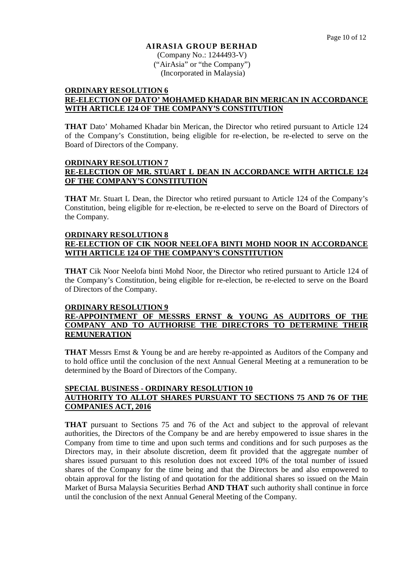(Company No.: 1244493-V) ("AirAsia" or "the Company") (Incorporated in Malaysia)

#### **ORDINARY RESOLUTION 6 RE-ELECTION OF DATO' MOHAMED KHADAR BIN MERICAN IN ACCORDANCE WITH ARTICLE 124 OF THE COMPANY'S CONSTITUTION**

**THAT** Dato' Mohamed Khadar bin Merican, the Director who retired pursuant to Article 124 of the Company's Constitution, being eligible for re-election, be re-elected to serve on the Board of Directors of the Company.

## **ORDINARY RESOLUTION 7 RE-ELECTION OF MR. STUART L DEAN IN ACCORDANCE WITH ARTICLE 124 OF THE COMPANY'S CONSTITUTION**

**THAT** Mr. Stuart L Dean, the Director who retired pursuant to Article 124 of the Company's Constitution, being eligible for re-election, be re-elected to serve on the Board of Directors of the Company.

#### **ORDINARY RESOLUTION 8 RE-ELECTION OF CIK NOOR NEELOFA BINTI MOHD NOOR IN ACCORDANCE WITH ARTICLE 124 OF THE COMPANY'S CONSTITUTION**

**THAT** Cik Noor Neelofa binti Mohd Noor, the Director who retired pursuant to Article 124 of the Company's Constitution, being eligible for re-election, be re-elected to serve on the Board of Directors of the Company.

### **ORDINARY RESOLUTION 9**

### **RE-APPOINTMENT OF MESSRS ERNST & YOUNG AS AUDITORS OF THE COMPANY AND TO AUTHORISE THE DIRECTORS TO DETERMINE THEIR REMUNERATION**

**THAT** Messrs Ernst & Young be and are hereby re-appointed as Auditors of the Company and to hold office until the conclusion of the next Annual General Meeting at a remuneration to be determined by the Board of Directors of the Company.

## **SPECIAL BUSINESS - ORDINARY RESOLUTION 10 AUTHORITY TO ALLOT SHARES PURSUANT TO SECTIONS 75 AND 76 OF THE COMPANIES ACT, 2016**

**THAT** pursuant to Sections 75 and 76 of the Act and subject to the approval of relevant authorities, the Directors of the Company be and are hereby empowered to issue shares in the Company from time to time and upon such terms and conditions and for such purposes as the Directors may, in their absolute discretion, deem fit provided that the aggregate number of shares issued pursuant to this resolution does not exceed 10% of the total number of issued shares of the Company for the time being and that the Directors be and also empowered to obtain approval for the listing of and quotation for the additional shares so issued on the Main Market of Bursa Malaysia Securities Berhad **AND THAT** such authority shall continue in force until the conclusion of the next Annual General Meeting of the Company.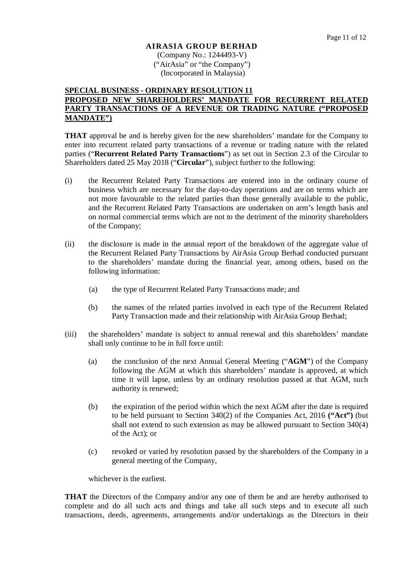(Company No.: 1244493-V) ("AirAsia" or "the Company") (Incorporated in Malaysia)

#### **SPECIAL BUSINESS - ORDINARY RESOLUTION 11 PROPOSED NEW SHAREHOLDERS' MANDATE FOR RECURRENT RELATED PARTY TRANSACTIONS OF A REVENUE OR TRADING NATURE ("PROPOSED MANDATE")**

**THAT** approval be and is hereby given for the new shareholders' mandate for the Company to enter into recurrent related party transactions of a revenue or trading nature with the related parties ("**Recurrent Related Party Transactions**") as set out in Section 2.3 of the Circular to Shareholders dated 25 May 2018 ("**Circular**"), subject further to the following:

- (i) the Recurrent Related Party Transactions are entered into in the ordinary course of business which are necessary for the day-to-day operations and are on terms which are not more favourable to the related parties than those generally available to the public, and the Recurrent Related Party Transactions are undertaken on arm's length basis and on normal commercial terms which are not to the detriment of the minority shareholders of the Company;
- (ii) the disclosure is made in the annual report of the breakdown of the aggregate value of the Recurrent Related Party Transactions by AirAsia Group Berhad conducted pursuant to the shareholders' mandate during the financial year, among others, based on the following information:
	- (a) the type of Recurrent Related Party Transactions made; and
	- (b) the names of the related parties involved in each type of the Recurrent Related Party Transaction made and their relationship with AirAsia Group Berhad;
- (iii) the shareholders' mandate is subject to annual renewal and this shareholders' mandate shall only continue to be in full force until:
	- (a) the conclusion of the next Annual General Meeting ("**AGM**") of the Company following the AGM at which this shareholders' mandate is approved, at which time it will lapse, unless by an ordinary resolution passed at that AGM, such authority is renewed;
	- (b) the expiration of the period within which the next AGM after the date is required to be held pursuant to Section 340(2) of the Companies Act, 2016 **("Act")** (but shall not extend to such extension as may be allowed pursuant to Section 340(4) of the Act); or
	- (c) revoked or varied by resolution passed by the shareholders of the Company in a general meeting of the Company,

whichever is the earliest.

**THAT** the Directors of the Company and/or any one of them be and are hereby authorised to complete and do all such acts and things and take all such steps and to execute all such transactions, deeds, agreements, arrangements and/or undertakings as the Directors in their